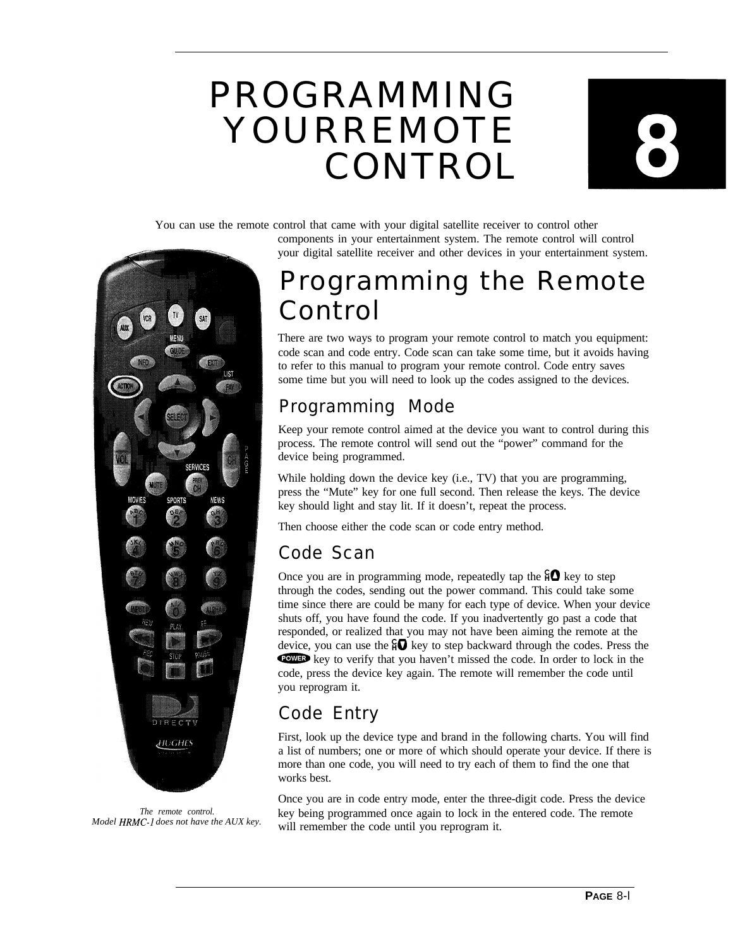# PROGRAMMING YOURREMOTE CONTROL



You can use the remote control that came with your digital satellite receiver to control other

components in your entertainment system. The remote control will control your digital satellite receiver and other devices in your entertainment system.



*The remote control. Model HRMC-1 does not have the AUX key.*

## Programming the Remote Control

There are two ways to program your remote control to match you equipment: code scan and code entry. Code scan can take some time, but it avoids having to refer to this manual to program your remote control. Code entry saves some time but you will need to look up the codes assigned to the devices.

### Programming Mode

Keep your remote control aimed at the device you want to control during this process. The remote control will send out the "power" command for the device being programmed.

While holding down the device key (i.e., TV) that you are programming, press the "Mute" key for one full second. Then release the keys. The device key should light and stay lit. If it doesn't, repeat the process.

Then choose either the code scan or code entry method.

### Code Scan

Once you are in programming mode, repeatedly tap the  $\mathcal{H}$  key to step through the codes, sending out the power command. This could take some time since there are could be many for each type of device. When your device shuts off, you have found the code. If you inadvertently go past a code that responded, or realized that you may not have been aiming the remote at the device, you can use the  $\mathbf{r} \mathbf{Q}$  key to step backward through the codes. Press the responded, or realized that you may not have been aiming the remote at the device, you can use the  $\frac{2}{4}$  key to step backward through the codes. Press the course the code is the code at the code. In order to lock in t code, press the device key again. The remote will remember the code until you reprogram it.

### Code Entry

First, look up the device type and brand in the following charts. You will find a list of numbers; one or more of which should operate your device. If there is more than one code, you will need to try each of them to find the one that works best.

Once you are in code entry mode, enter the three-digit code. Press the device key being programmed once again to lock in the entered code. The remote will remember the code until you reprogram it.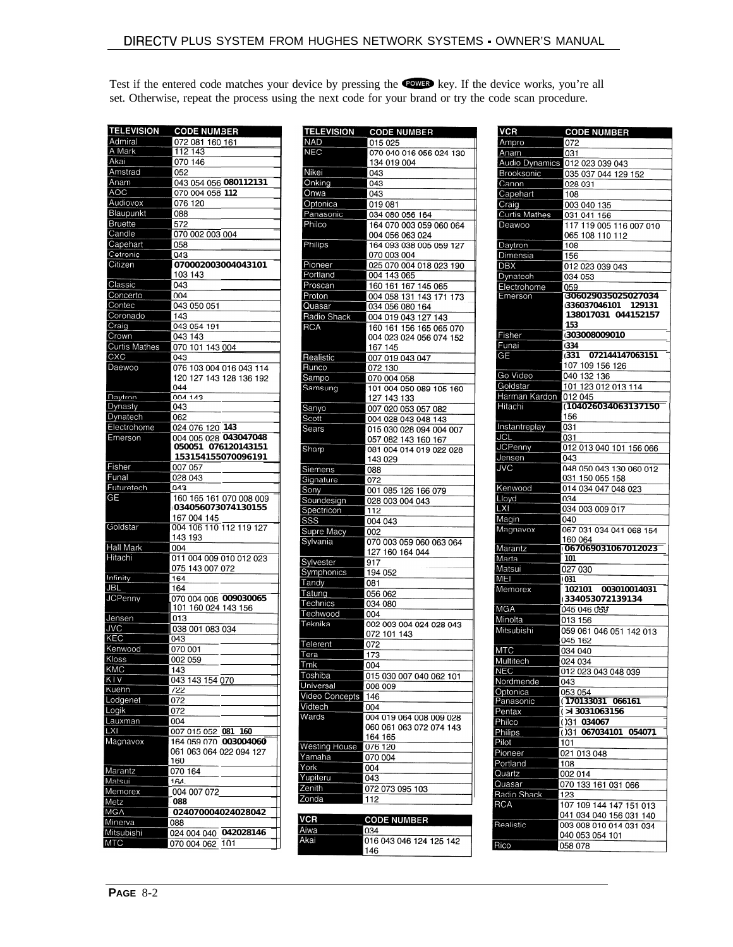Test if the entered code matches your device by pressing the COWED key. If the device works, you're all set. Otherwise, repeat the process using the next code for your brand or try the code scan procedure.

| <b>TELEVISION</b>    | <b>CODE NUMBER</b>                            |
|----------------------|-----------------------------------------------|
| Admiral              | 072 081 160 161                               |
| A Mark               | 112 143                                       |
| Akai                 | 070 146                                       |
| Amstrad              | 052                                           |
| Anam                 | 043 054 056 080112131                         |
| AOC                  | 070 004 058 112                               |
| Audiovox             | 076 120                                       |
| Blaupunkt            | 088                                           |
| Bruette              | 572                                           |
| Candle               | 070 002 003 004                               |
| Capehart             | 058                                           |
| Cetronic             | 043                                           |
| Citizen              | 070002003004043101                            |
|                      | 103 143                                       |
| Classic              | 043                                           |
| Concerto             | 004                                           |
| Contec               | 043 050 051                                   |
| Coronado             | 143                                           |
| Craig                | 043 054 191                                   |
| Crown                | 043 143                                       |
| <b>Curtis Mathes</b> | 070 101 143 004                               |
| CXC                  | 043                                           |
| Daewoo               | 076 103 004 016 043 114                       |
|                      | 120 127 143 128 136 192                       |
|                      | 044                                           |
| <b>Daytron</b>       | 004 143                                       |
| Dynasty              | 043                                           |
| Dynatech             | 062                                           |
| Electrohome          | 024 076 120 143                               |
| Emerson              | 004 005 028 043047048                         |
|                      | 050051 076120143151                           |
|                      | 153154155070096191                            |
| Fisher               | 007 057                                       |
| Funal                | 028 043                                       |
| Futuretech           | 043                                           |
| GE                   | 160 165 161 070 008 009<br>034056073074130155 |
|                      | 167 004 145                                   |
| Goldstar             | 004 106 110 112 119 127                       |
|                      | 143 193                                       |
| Hall Mark            | 004                                           |
| Hitachi              | 011 004 009 010 012 023                       |
|                      | 075 143 007 072                               |
| Infinity             | 164                                           |
| <b>JBL</b>           | 164                                           |
| <b>JCPenny</b>       | 070 004 008 009030065                         |
|                      | 101 160 024 143 156                           |
| Jensen               | 1013                                          |
| <b>JVC</b>           | 038 001 083 034                               |
| KEC                  | 043                                           |
| Kenwood              | 070 001                                       |
| Klos                 | 002 059                                       |
| KMC                  | 143                                           |
| <b>KTV</b>           | 043 143 154 070                               |
| Kuehn                | 722                                           |
| Lodgenet             | 072                                           |
| Logik                | 072                                           |
| Lauxman              | 004                                           |
| LXI                  | 007 015 052 081 160                           |
| Magnavox             | 164 059 070 003004060                         |
|                      | 061 063 064 022 094 127                       |
|                      | 160                                           |
| Marantz              | 070 164                                       |
| Matsui               | 164.                                          |
| Memorex              | 004 007 072                                   |
| Metz                 | 088                                           |
| MGA                  | 024070004024028042                            |
| <b>Minerva</b>       | 088                                           |
| <b>Mitsubishi</b>    | 024 004 040 042028146                         |
| MTC                  | 070 004 062<br>101                            |

| <b>TELEVISION</b>     | <b>CODE NUMBER</b>                     |
|-----------------------|----------------------------------------|
| <b>NAD</b>            | 015 025                                |
| <b>NEC</b>            | 070 040 016 056 024 130                |
| Nikei                 | 134 019 004                            |
| Onking                | 043<br>043                             |
| Onwa                  | 043                                    |
| Optonica              | 019 081                                |
| Panasonic             | 034 080 056 164                        |
| Philco                | 164 070 003 059 060 064                |
|                       | 004 056 063 024                        |
| Philips               | 164 093 038 005 059 127                |
|                       | 070 003 004                            |
| Pioneer<br>Portland   | 025 070 004 018 023 190<br>004 143 065 |
| Proscan               | 160 161 167 145 065                    |
| Proton                | 004 058 131 143 171 173                |
| Quasar                | 034 056 080 164                        |
| Radio Shack           | 004 019 043 127 143                    |
| <b>RCA</b>            | 160 161 156 165 065 070                |
|                       | 004 023 024 056 074 152                |
|                       | 167 145                                |
| Realistic             | 007 019 043 047                        |
| Runco<br>Sampo        | 072 130<br>070 004 058                 |
| Samsung               | 101 004 050 089 105 160                |
|                       | 127 143 133                            |
| Sanyo                 | 007 020 053 057 082                    |
| Scott                 | 004 028 043 048 143                    |
| Sears                 | 015 030 028 094 004 007                |
|                       | 057 082 143 160 167                    |
| Sharp                 | 081 004 014 019 022 028                |
|                       | 143 029                                |
| Siemens<br>Signature  | 088<br>072                             |
| Sony                  | 001 085 126 166 079                    |
| Soundesign            | 028 003 004 043                        |
| Spectricon            | 112                                    |
| SSS                   | 004 043                                |
| Supre Macy            | 002                                    |
| Sylvania              | 070 003 059 060 063 064                |
|                       | 127 160 164 044                        |
| Sylvester             | 917                                    |
| Symphonics<br>Tandy   | 194 052<br>081                         |
| Tatung                | 056 062                                |
| Technics              | 034 080                                |
| Techwood              | 004                                    |
| Teknika               | 002 003 004 024 028 043                |
|                       | 072 101 143                            |
| Telerent              | 072                                    |
| Tera                  | 173                                    |
| Tmk<br>Toshiba        | 004                                    |
| Universal             | 015 030 007 040 062 101<br>008 009     |
| <b>Video Concepts</b> | 146                                    |
| Vidtech               | 004                                    |
| Wards                 | 004 019 064 008 009 028                |
|                       | 060 061 063 072 074 143                |
|                       | 164 165                                |
| <b>Westing House</b>  | 076 120                                |
| Yamaha<br>York        | 070 004                                |
| Yupiteru              | 004<br>043                             |
| Zenith                | 072 073 095 103                        |
| Zonda                 | 112                                    |
|                       |                                        |
| <b>VCR</b>            | <b>CODE NUMBER</b>                     |
| Aiwa                  | 034                                    |
| Akai                  | 016 043 046 124 125 142                |
|                       | 146                                    |

| VCR                      | <b>CODE NUMBER</b>                                 |
|--------------------------|----------------------------------------------------|
| Ampro                    | 072                                                |
| Anam                     | 031                                                |
| Audio Dynamics           | 012 023 039 043                                    |
| Brooksonic               | 035 037 044 129 152                                |
| Canon                    | 028 031                                            |
| Capehart                 | 108                                                |
| Craig                    | 003 040 135                                        |
| Curtis Mathes            | 031 041 156                                        |
| Deawoo                   | 117 119 005 116 007 010                            |
| Daytron                  | 065 108 110 112<br>108                             |
| Dimensia                 | 156                                                |
| <b>DBX</b>               | 012 023 039 043                                    |
| Dynatech                 | 034 053                                            |
| Electrohome              | 059                                                |
| Emerson                  | 306029035025027034                                 |
|                          | 336037046101<br>129131<br>138017031 044152157      |
|                          | 153                                                |
| Fisher                   | (303008009010                                      |
| Funai                    | (334)                                              |
| GE                       | (331 072144147063151                               |
|                          | 107 109 156 126                                    |
| Go Video                 | 040 132 136                                        |
| Goldstar                 | 101 123 012 013 114                                |
| Harman Kardon<br>Hitachi | 012 045<br>(104026034063137150                     |
|                          | 156                                                |
| Instantreplay            | 031                                                |
| <b>JCL</b>               | 031                                                |
| <b>JCPenny</b>           | 012 013 040 101 156 066                            |
| Jensen                   | 043                                                |
| <b>JVC</b>               | 048 050 043 130 060 012                            |
|                          | 031 150 055 158                                    |
| Kenwood                  | 014 034 047 048 023                                |
| Lloyd<br><b>LXI</b>      | 034<br>034 003 009 017                             |
| Magin                    | 040                                                |
| Magnavox                 | 067 031 034 041 068 154                            |
|                          | 160 064                                            |
| Marantz                  | 067069031067012023                                 |
| Marta                    | 101                                                |
| Matsui                   | 027 030                                            |
| MEI                      | 031                                                |
| Memorex                  | 102101 003010014031<br>(334053072139134            |
| <b>MGA</b>               | 045 046 059                                        |
| Minolta                  | 013 156                                            |
| Mitsubishi               | 059 061 046 051 142 013                            |
|                          | 045 162                                            |
| <b>MTC</b>               | 034 040                                            |
| Multitech                | 024 034                                            |
| NEC                      | 012 023 043 048 039                                |
| Nordmende                | 043                                                |
| Optonica<br>Panasonic    | 053 054<br>(170133031 066161                       |
| Pentax                   | ( > I3031063156                                    |
| Philco                   | ()31 034067                                        |
| Philips                  | ()31 067034101 054071                              |
| Pilot                    | 101                                                |
| Pioneer                  | 021 013 048                                        |
| Portland                 | 108                                                |
| Quartz                   | 002 014                                            |
| Quasar                   | 070 133 161 031 066                                |
| Radio Shack              | 123                                                |
| RCA                      | 107 109 144 147 151 013                            |
| Realistic                | 041 034 040 156 031 140<br>003 008 010 014 031 034 |
|                          | 040 053 054 101                                    |
| Rico                     | 058 078                                            |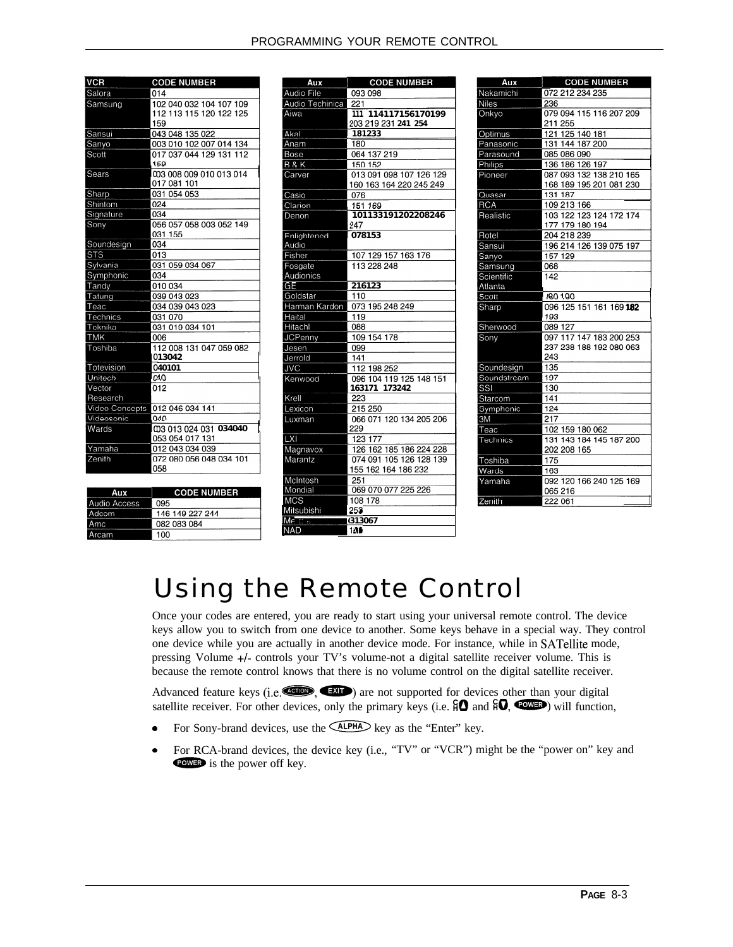| <b>VCR</b>     | <b>CODE NUMBER</b>      |
|----------------|-------------------------|
|                |                         |
| Salora         | 014                     |
| Samsung        | 102 040 032 104 107 109 |
|                | 112 113 115 120 122 125 |
|                | 159                     |
| Sansui         | 043 048 135 022         |
| Sanyo          | 003 010 102 007 014 134 |
| Scott          | 017 037 044 129 131 112 |
|                | 159                     |
| Sears          | 003 008 009 010 013 014 |
|                | 017 081 101             |
| Sharp          | 031 054 053             |
| Shintom        | 024                     |
| Signature      | 034                     |
| Sony           | 056 057 058 003 052 149 |
|                | 031 155                 |
| Soundesign     | 034                     |
| <b>STS</b>     | 013                     |
| Sylvania       | 031 059 034 067         |
| Symphonic      | 034                     |
| Tandy          | 010 034                 |
| Tatung         | 039 043 023             |
| Teac           | 034 039 043 023         |
| Technics       | 031 070                 |
| Teknika        | 031 019 034 101         |
| <b>TMK</b>     | 006                     |
| Toshiba        | 112 008 131 047 059 082 |
|                | 013042                  |
| Totevision     | 040101                  |
| Unitech        | 040                     |
| Vector         | 012                     |
| Research       |                         |
| Video Concepts | 012 046 034 141         |
| Videosonic     | 040                     |
| Wards          | 003 013 024 031 034040  |
|                | 053 054 017 131         |
| Yamaha         | 012 043 034 039         |
| Zenith         | 072 080 056 048 034 101 |
|                | 058                     |
|                |                         |

| Aux          | <b>CODE NUMBER</b> |
|--------------|--------------------|
| Audio Access | 095                |
| Adcom        | 146 149 227 244    |
| <b>Amc</b>   | 082 083 084        |
| Arcam        | 100                |

| Aux             | <b>CODE NUMBER</b>      |
|-----------------|-------------------------|
| Audio File      | 093 098                 |
| Audio Techinica | 221                     |
| Aiwa            | 111 114117156170199     |
|                 | 203 219 231 241 254     |
| Akal            | 181233                  |
| Anam            | 180                     |
| Bose            | 064 137 219             |
| <b>B&amp;K</b>  | 150 152                 |
| Carver          | 013 091 098 107 126 129 |
|                 | 160 163 164 220 245 249 |
| Casio           | 076                     |
| Clarion         | 151 169                 |
| Denon           | 101133191202208246      |
|                 | 247                     |
| Fnlightened     | 078153                  |
| Audio           |                         |
| Fisher          | 107 129 157 163 176     |
| Fosgate         | 113 228 248             |
| Audionics       |                         |
| GF              | 216123                  |
| Goldstar        | 110                     |
| Harman Kardon   | 073 195 248 249         |
| Haital          | 119                     |
| Hitachl         | 088                     |
| <b>JCPenny</b>  | 109 154 178             |
| Jesen           | 099                     |
| Jerrold         | 141                     |
| <b>JVC</b>      | 112 198 252             |
| Kenwood         | 096 104 119 125 148 151 |
|                 | 163171 173242           |
| Krell           | $\overline{223}$        |
| Lexicon         | 215 250                 |
| Luxman          | 066 071 120 134 205 206 |
|                 | 229                     |
| <b>LXI</b>      | 123 177                 |
| Magnavox        | 126 162 185 186 224 228 |
| Marantz         | 074 091 105 126 128 139 |
|                 | 155 162 164 186 232     |
| McIntosh        | 251                     |
| Mondial         | 069 070 077 225 226     |
| <b>IMCS</b>     | 108 178                 |
| Mitsubishi      | 253                     |
| Me <sub>2</sub> | <b>G13067</b>           |
| <b>NAD</b>      | 146                     |

| Aux          | <b>CODE NUMBER</b>      |
|--------------|-------------------------|
| Nakamichi    | 072 212 234 235         |
| <b>Niles</b> | 236                     |
| Onkyo        | 079 094 115 116 207 209 |
|              | 211 255                 |
| Optimus      | 121 125 140 181         |
| Panasonic    | 131 144 187 200         |
| Parasound    | 085 086 090             |
| Philips      | 136 186 126 197         |
| Pioneer      | 087 093 132 138 210 165 |
|              | 168 189 195 201 081 230 |
| Quasar       | 131 187                 |
| <b>RCA</b>   | 109 213 166             |
| Realistic    | 103 122 123 124 172 174 |
|              | 177 179 180 194         |
| Rotel        | 204 218 239             |
| Sansui       | 196 214 126 139 075 197 |
| Sanyo        | 157 129                 |
| Samsung      | 068                     |
| Scientific   | 142                     |
| Atlanta      |                         |
| Scott        | 180 190                 |
| Sharp        | 096 125 151 161 169 182 |
|              | 193                     |
| Sherwood     | 089 127                 |
| Sonv         | 097 117 147 183 200 253 |
|              | 237 238 188 192 080 063 |
|              | 243                     |
| Soundesign   | 135                     |
| Soundstream  | 197                     |
| SSI          | 130                     |
| Starcom      | 141                     |
| Symphonic    | 124                     |
| 3M           | 217                     |
| Teac         | 102 159 180 062         |
| Technics     | 131 143 184 145 187 200 |
|              | 202 208 165             |
| Toshiba      | 175                     |
| Wards        | 163                     |
| Yamaha       | 092 120 166 240 125 169 |
|              | 065 216                 |
| Zenith       | 222 061                 |
|              |                         |

## Using the Remote Control

Once your codes are entered, you are ready to start using your universal remote control. The device keys allow you to switch from one device to another. Some keys behave in a special way. They control one device while you are actually in another device mode. For instance, while in SATellite mode, pressing Volume +/- controls your TV's volume-not a digital satellite receiver volume. This is because the remote control knows that there is no volume control on the digital satellite receiver.

Advanced feature keys (i.e. $\left( \frac{1}{2}, \frac{1}{2}, \frac{1}{2} \right)$  are not supported for devices other than your digital Advanced feature keys (i.e.  $\frac{1}{200}$ ,  $\frac{1}{200}$ ) are not supported for devices other than your digital satellite receiver. For other devices, only the primary keys (i.e.  $\overline{10}$  and  $\overline{10}$ ,  $\overline{100}$ ) will func

- 
- <sup>0</sup> For RCA-brand devices, the device key (i.e., "TV" or "VCR") might be the "power on" key and For RCA-brand devices, the power off key.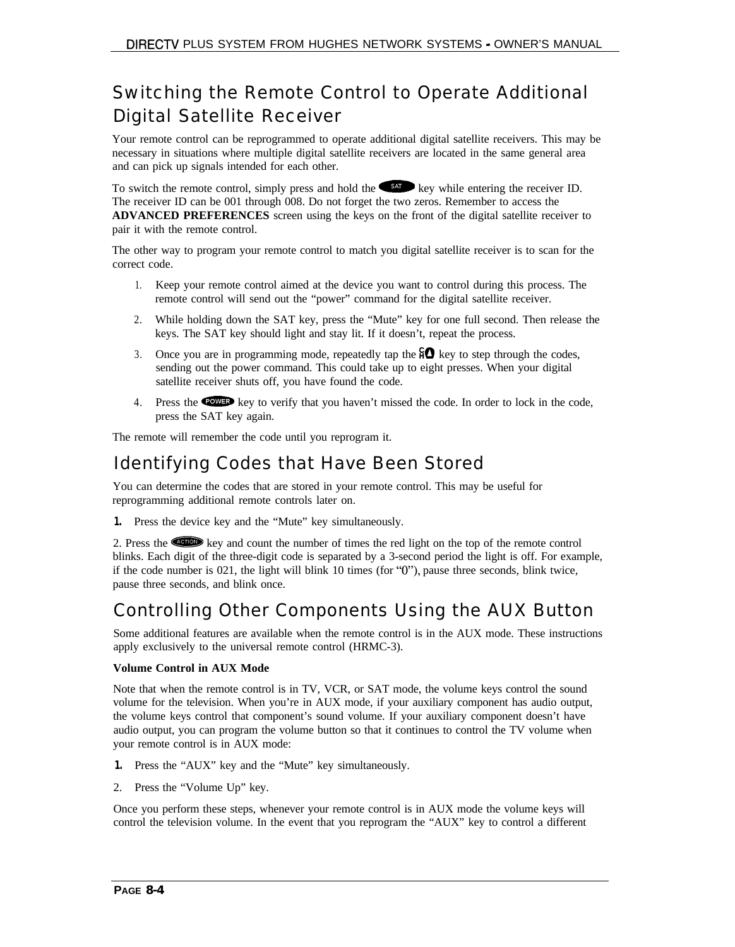#### Switching the Remote Control to Operate Additional Digital Satellite Receiver

Your remote control can be reprogrammed to operate additional digital satellite receivers. This may be necessary in situations where multiple digital satellite receivers are located in the same general area and can pick up signals intended for each other.

To switch the remote control, simply press and hold the  $\blacklozenge$  key while entering the receiver ID. The receiver ID can be 001 through 008. Do not forget the two zeros. Remember to access the **ADVANCED PREFERENCES** screen using the keys on the front of the digital satellite receiver to pair it with the remote control.

The other way to program your remote control to match you digital satellite receiver is to scan for the correct code.

- 1. Keep your remote control aimed at the device you want to control during this process. The remote control will send out the "power" command for the digital satellite receiver.
- 2. While holding down the SAT key, press the "Mute" key for one full second. Then release the keys. The SAT key should light and stay lit. If it doesn't, repeat the process.
- 3. Once you are in programming mode, repeatedly tap the  $\widehat{H} \Omega$  key to step through the codes, sending out the power command. This could take up to eight presses. When your digital satellite receiver shuts off, you have found the code.
- 4. Press the **WPB** key to verify that you haven't missed the code. In order to lock in the code, press the SAT key again.

The remote will remember the code until you reprogram it.

#### Identifying Codes that Have Been Stored

You can determine the codes that are stored in your remote control. This may be useful for reprogramming additional remote controls later on.

**1.** Press the device key and the "Mute" key simultaneously.

2. Press the w key and count the number of times the red light on the top of the remote control blinks. Each digit of the three-digit code is separated by a 3-second period the light is off. For example, if the code number is 021, the light will blink 10 times (for "O"), pause three seconds, blink twice, pause three seconds, and blink once.

#### Controlling Other Components Using the AUX Button

Some additional features are available when the remote control is in the AUX mode. These instructions apply exclusively to the universal remote control (HRMC-3).

#### **Volume Control in AUX Mode**

Note that when the remote control is in TV, VCR, or SAT mode, the volume keys control the sound volume for the television. When you're in AUX mode, if your auxiliary component has audio output, the volume keys control that component's sound volume. If your auxiliary component doesn't have audio output, you can program the volume button so that it continues to control the TV volume when your remote control is in AUX mode:

- **1.** Press the "AUX" key and the "Mute" key simultaneously.
- 2. Press the "Volume Up" key.

Once you perform these steps, whenever your remote control is in AUX mode the volume keys will control the television volume. In the event that you reprogram the "AUX" key to control a different